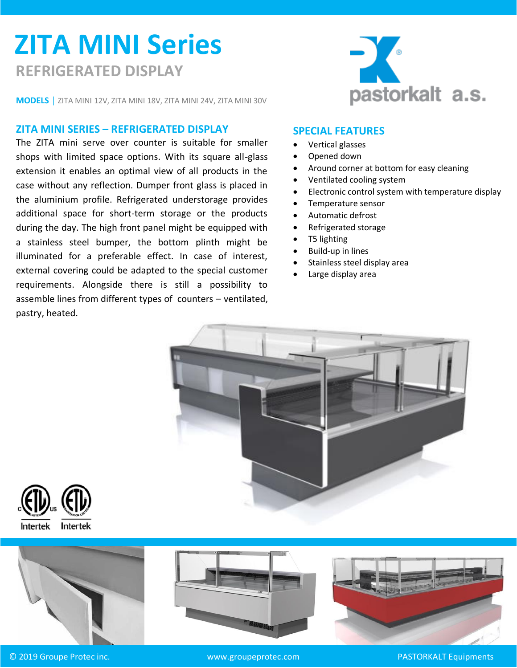# **ZITA MINI Series REFRIGERATED DISPLAY**

**MODELS │** ZITA MINI 12V, ZITA MINI 18V, ZITA MINI 24V, ZITA MINI 30V

#### **ZITA MINI SERIES – REFRIGERATED DISPLAY**

The ZITA mini serve over counter is suitable for smaller shops with limited space options. With its square all-glass extension it enables an optimal view of all products in the case without any reflection. Dumper front glass is placed in the aluminium profile. Refrigerated understorage provides additional space for short-term storage or the products during the day. The high front panel might be equipped with a stainless steel bumper, the bottom plinth might be illuminated for a preferable effect. In case of interest, external covering could be adapted to the special customer requirements. Alongside there is still a possibility to assemble lines from different types of counters – ventilated, pastry, heated.



### **SPECIAL FEATURES**

- Vertical glasses
- Opened down
- Around corner at bottom for easy cleaning
- Ventilated cooling system
- Electronic control system with temperature display
- Temperature sensor
- Automatic defrost
- Refrigerated storage
- T5 lighting
- Build-up in lines
- Stainless steel display area
- Large display area







© 2019 Groupe Protec inc. www.groupeprotec.com PASTORKALT Equipments



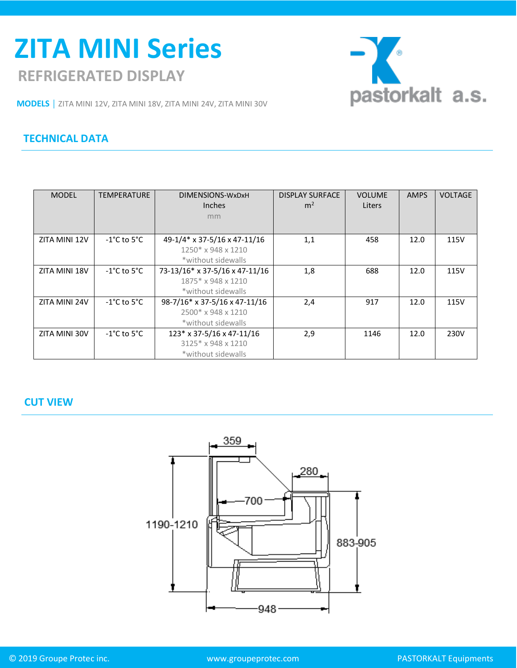## **REFRIGERATED DISPLAY ZITA MINI Series**



**MODELS │** ZITA MINI 12V, ZITA MINI 18V, ZITA MINI 24V, ZITA MINI 30V

## **TECHNICAL DATA**

| <b>MODEL</b>  | <b>TEMPERATURE</b>               | DIMENSIONS-WxDxH               | <b>DISPLAY SURFACE</b> | <b>VOLUME</b> | <b>AMPS</b> | <b>VOLTAGE</b> |
|---------------|----------------------------------|--------------------------------|------------------------|---------------|-------------|----------------|
|               |                                  | <b>Inches</b>                  | m <sup>2</sup>         | Liters        |             |                |
|               |                                  | mm                             |                        |               |             |                |
|               |                                  |                                |                        |               |             |                |
| ZITA MINI 12V | $-1^{\circ}$ C to 5 $^{\circ}$ C | 49-1/4* x 37-5/16 x 47-11/16   | 1,1                    | 458           | 12.0        | 115V           |
|               |                                  | 1250* x 948 x 1210             |                        |               |             |                |
|               |                                  | *without sidewalls             |                        |               |             |                |
| ZITA MINI 18V | $-1^{\circ}$ C to 5 $^{\circ}$ C | 73-13/16* x 37-5/16 x 47-11/16 | 1,8                    | 688           | 12.0        | 115V           |
|               |                                  | 1875* x 948 x 1210             |                        |               |             |                |
|               |                                  | *without sidewalls             |                        |               |             |                |
| ZITA MINI 24V | $-1^{\circ}$ C to 5 $^{\circ}$ C | 98-7/16* x 37-5/16 x 47-11/16  | 2,4                    | 917           | 12.0        | 115V           |
|               |                                  | 2500* x 948 x 1210             |                        |               |             |                |
|               |                                  | *without sidewalls             |                        |               |             |                |
| ZITA MINI 30V | $-1^{\circ}$ C to 5 $^{\circ}$ C | $123*$ x 37-5/16 x 47-11/16    | 2,9                    | 1146          | 12.0        | 230V           |
|               |                                  | 3125* x 948 x 1210             |                        |               |             |                |
|               |                                  | *without sidewalls             |                        |               |             |                |

### **CUT VIEW**